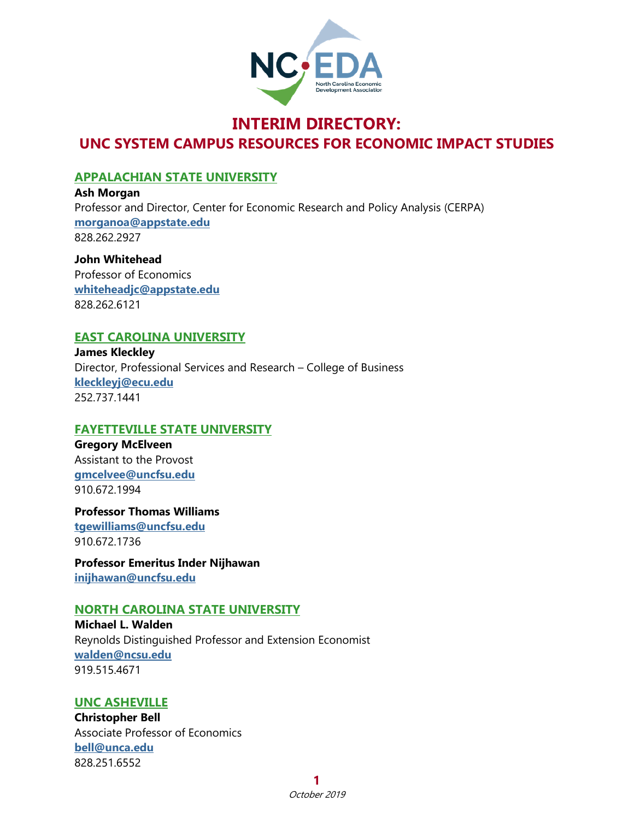

# **INTERIM DIRECTORY: UNC SYSTEM CAMPUS RESOURCES FOR ECONOMIC IMPACT STUDIES**

## **APPALACHIAN STATE UNIVERSITY**

**Ash Morgan** Professor and Director, Center for Economic Research and Policy Analysis (CERPA) **[morganoa@appstate.edu](mailto:morganoa@appstate.edu)** 828.262.2927

**John Whitehead** Professor of Economics **[whiteheadjc@appstate.edu](mailto:whiteheadjc@appstate.edu)** 828.262.6121

## **EAST CAROLINA UNIVERSITY**

**James Kleckley** Director, Professional Services and Research – College of Business **[kleckleyj@ecu.edu](mailto:kleckleyj@ecu.edu)** 252.737.1441

## **FAYETTEVILLE STATE UNIVERSITY**

**Gregory McElveen** Assistant to the Provost **[gmcelvee@uncfsu.edu](mailto:gmcelvee@uncfsu.edu)** 910.672.1994

**Professor Thomas Williams [tgewilliams@uncfsu.edu](mailto:tgewilliams@uncfsu.edu)** 910.672.1736

**Professor Emeritus Inder Nijhawan [inijhawan@uncfsu.edu](mailto:inijhawan@uncfsu.edu)**

## **NORTH CAROLINA STATE UNIVERSITY**

**Michael L. Walden** Reynolds Distinguished Professor and Extension Economist **[walden@ncsu.edu](mailto:walden@ncsu.edu)** 919.515.4671

## **UNC ASHEVILLE**

**Christopher Bell** Associate Professor of Economics **[bell@unca.edu](mailto:bell@unca.edu)** 828.251.6552

**1**